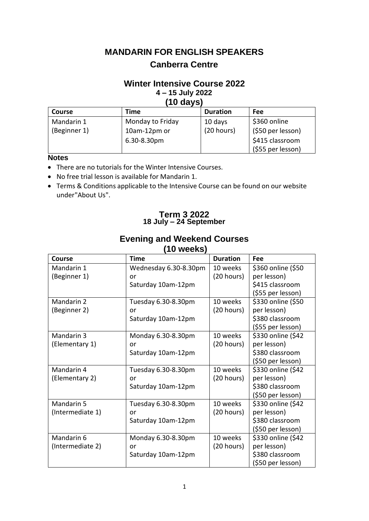# **MANDARIN FOR ENGLISH SPEAKERS Canberra Centre**

### **Winter Intensive Course 2022 4 – 15 July 2022 (10 days)**

| 1 V WATVI     |                  |                 |                   |  |
|---------------|------------------|-----------------|-------------------|--|
| <b>Course</b> | Time             | <b>Duration</b> | <b>Fee</b>        |  |
| Mandarin 1    | Monday to Friday | 10 days         | \$360 online      |  |
| (Beginner 1)  | 10am-12pm or     | (20 hours)      | (\$50 per lesson) |  |
|               | 6.30-8.30pm      |                 | \$415 classroom   |  |
|               |                  |                 | (\$55 per lesson) |  |

### **Notes**

- There are no tutorials for the Winter Intensive Courses.
- No free trial lesson is available for Mandarin 1.
- Terms & Conditions applicable to the Intensive Course can be found on our website under"About Us".

### **Term 3 2022 18 July – 24 September**

| (10 weeks)       |                       |                 |                    |  |  |
|------------------|-----------------------|-----------------|--------------------|--|--|
| Course           | <b>Time</b>           | <b>Duration</b> | Fee                |  |  |
| Mandarin 1       | Wednesday 6.30-8.30pm | 10 weeks        | \$360 online (\$50 |  |  |
| (Beginner 1)     | or                    | (20 hours)      | per lesson)        |  |  |
|                  | Saturday 10am-12pm    |                 | \$415 classroom    |  |  |
|                  |                       |                 | (\$55 per lesson)  |  |  |
| Mandarin 2       | Tuesday 6.30-8.30pm   | 10 weeks        | \$330 online (\$50 |  |  |
| (Beginner 2)     | or                    | (20 hours)      | per lesson)        |  |  |
|                  | Saturday 10am-12pm    |                 | \$380 classroom    |  |  |
|                  |                       |                 | (\$55 per lesson)  |  |  |
| Mandarin 3       | Monday 6.30-8.30pm    | 10 weeks        | \$330 online (\$42 |  |  |
| (Elementary 1)   | or                    | (20 hours)      | per lesson)        |  |  |
|                  | Saturday 10am-12pm    |                 | \$380 classroom    |  |  |
|                  |                       |                 | (\$50 per lesson)  |  |  |
| Mandarin 4       | Tuesday 6.30-8.30pm   | 10 weeks        | \$330 online (\$42 |  |  |
| (Elementary 2)   | or                    | (20 hours)      | per lesson)        |  |  |
|                  | Saturday 10am-12pm    |                 | \$380 classroom    |  |  |
|                  |                       |                 | (\$50 per lesson)  |  |  |
| Mandarin 5       | Tuesday 6.30-8.30pm   | 10 weeks        | \$330 online (\$42 |  |  |
| (Intermediate 1) | or                    | (20 hours)      | per lesson)        |  |  |
|                  | Saturday 10am-12pm    |                 | \$380 classroom    |  |  |
|                  |                       |                 | (\$50 per lesson)  |  |  |
| Mandarin 6       | Monday 6.30-8.30pm    | 10 weeks        | \$330 online (\$42 |  |  |
| (Intermediate 2) | or                    | (20 hours)      | per lesson)        |  |  |
|                  | Saturday 10am-12pm    |                 | \$380 classroom    |  |  |
|                  |                       |                 | (\$50 per lesson)  |  |  |

# **Evening and Weekend Courses**

**(10 weeks)**